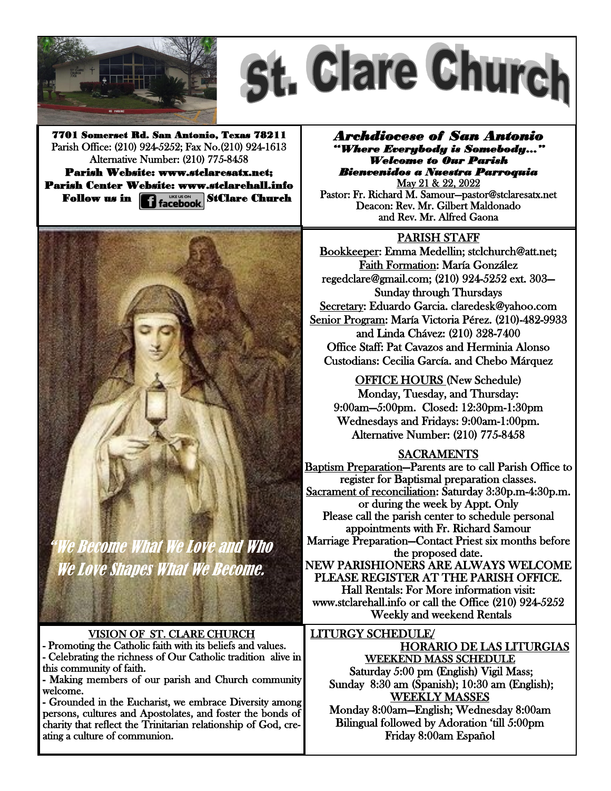



7701 Somerset Rd. San Antonio, Texas 78211 Parish Office: (210) 924-5252; Fax No.(210) 924-1613 Alternative Number: (210) 775-8458 Parish Website: www.stclaresatx.net; Parish Center Website: www.stclarehall.info Follow us in **1 Hacebook** StClare Church

*Archdiocese of San Antonio "Where Everybody is Somebody…" Welcome to Our Parish Bienvenidos a Nuestra Parroquia* 

May 21 & 22, 2022 Pastor: Fr. Richard M. Samour—pastor@stclaresatx.net Deacon: Rev. Mr. Gilbert Maldonado and Rev. Mr. Alfred Gaona

## PARISH STAFF

Bookkeeper: Emma Medellin; stclchurch@att.net; Faith Formation: María González regedclare@gmail.com; (210) 924-5252 ext. 303— Sunday through Thursdays Secretary: Eduardo Garcia. claredesk@yahoo.com Senior Program: María Victoria Pérez. (210)-482-9933 and Linda Chávez: (210) 328-7400 Office Staff: Pat Cavazos and Herminia Alonso Custodians: Cecilia García. and Chebo Márquez

OFFICE HOURS (New Schedule) Monday, Tuesday, and Thursday: 9:00am—5:00pm. Closed: 12:30pm-1:30pm Wednesdays and Fridays: 9:00am-1:00pm. Alternative Number: (210) 775-8458

## SACRAMENTS

Baptism Preparation—Parents are to call Parish Office to register for Baptismal preparation classes. Sacrament of reconciliation: Saturday 3:30p.m-4:30p.m. or during the week by Appt. Only Please call the parish center to schedule personal appointments with Fr. Richard Samour Marriage Preparation—Contact Priest six months before the proposed date. NEW PARISHIONERS ARE ALWAYS WELCOME PLEASE REGISTER AT THE PARISH OFFICE. Hall Rentals: For More information visit: www.stclarehall.info or call the Office (210) 924-5252 Weekly and weekend Rentals

LITURGY SCHEDULE/ HORARIO DE LAS LITURGIAS WEEKEND MASS SCHEDULE Saturday 5:00 pm (English) Vigil Mass; Sunday 8:30 am (Spanish); 10:30 am (English); WEEKLY MASSES Monday 8:00am—English; Wednesday 8:00am Bilingual followed by Adoration 'till 5:00pm

Friday 8:00am Español



Ve Become What We Love and Who We Love Shapes What We Become.

VISION OF ST. CLARE CHURCH - Promoting the Catholic faith with its beliefs and values. - Celebrating the richness of Our Catholic tradition alive in

this community of faith. - Making members of our parish and Church community welcome.

- Grounded in the Eucharist, we embrace Diversity among persons, cultures and Apostolates, and foster the bonds of charity that reflect the Trinitarian relationship of God, creating a culture of communion.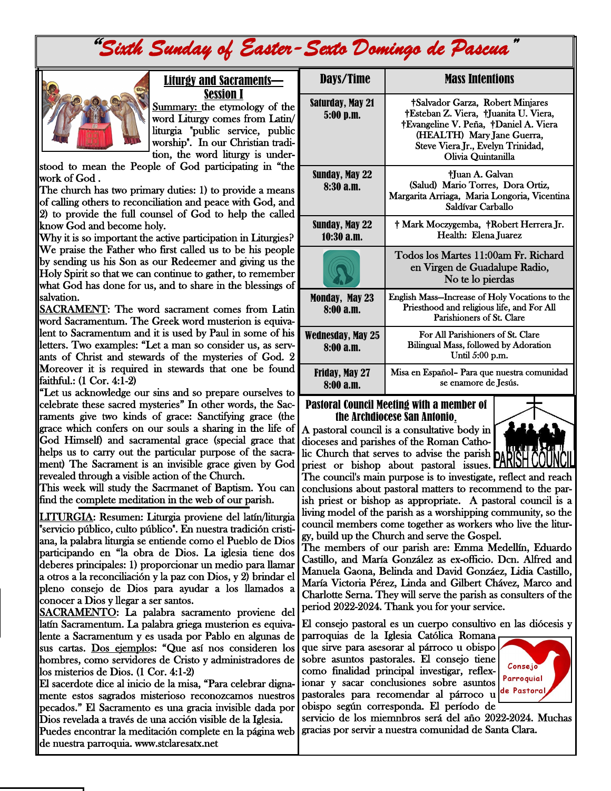# "*Sixth Sunday of Easter-Sexto Domingo de Pascua"*



#### Liturgy and Sacraments— Session I

Summary: the etymology of the word Liturgy comes from Latin/ liturgia "public service, public worship". In our Christian tradition, the word liturgy is under-

stood to mean the People of God participating in "the work of God .

The church has two primary duties: 1) to provide a means of calling others to reconciliation and peace with God, and 2) to provide the full counsel of God to help the called know God and become holy.

Why it is so important the active participation in Liturgies? We praise the Father who first called us to be his people by sending us his Son as our Redeemer and giving us the Holy Spirit so that we can continue to gather, to remember what God has done for us, and to share in the blessings of salvation.

SACRAMENT: The word sacrament comes from Latin word Sacramentum. The Greek word musterion is equivalent to Sacramentum and it is used by Paul in some of his letters. Two examples: "Let a man so consider us, as servants of Christ and stewards of the mysteries of God. 2 Moreover it is required in stewards that one be found faithful.: (1 Cor. 4:1-2)

"Let us acknowledge our sins and so prepare ourselves to celebrate these sacred mysteries" In other words, the Sacraments give two kinds of grace: Sanctifying grace (the grace which confers on our souls a sharing in the life of God Himself) and sacramental grace (special grace that helps us to carry out the particular purpose of the sacrament) The Sacrament is an invisible grace given by God revealed through a visible action of the Church.

This week will study the Sacrmanet of Baptism. You can find the complete meditation in the web of our parish.

LITURGIA: Resumen: Liturgia proviene del latín/liturgia "servicio público, culto público". En nuestra tradición cristiana, la palabra liturgia se entiende como el Pueblo de Dios participando en "la obra de Dios. La iglesia tiene dos deberes principales: 1) proporcionar un medio para llamar a otros a la reconciliación y la paz con Dios, y 2) brindar el pleno consejo de Dios para ayudar a los llamados a conocer a Dios y llegar a ser santos.

SACRAMENTO: La palabra sacramento proviene del latín Sacramentum. La palabra griega musterion es equivalente a Sacramentum y es usada por Pablo en algunas de sus cartas. Dos ejemplos: "Que así nos consideren los hombres, como servidores de Cristo y administradores de los misterios de Dios. (1 Cor. 4:1-2)

El sacerdote dice al inicio de la misa, "Para celebrar dignamente estos sagrados misterioso reconozcamos nuestros pecados." El Sacramento es una gracia invisible dada por Dios revelada a través de una acción visible de la Iglesia.

Puedes encontrar la meditación complete en la página web de nuestra parroquia. www.stclaresatx.net

| Days/Time                             | <b>Mass Intentions</b>                                                                                                                                                                                      |
|---------------------------------------|-------------------------------------------------------------------------------------------------------------------------------------------------------------------------------------------------------------|
| Saturday, May 21<br>$5:00$ p.m.       | †Salvador Garza, Robert Minjares<br>†Esteban Z. Viera, †Juanita U. Viera,<br>†Evangeline V. Peña, †Daniel A. Viera<br>(HEALTH) Mary Jane Guerra,<br>Steve Viera Jr., Evelyn Trinidad,<br>Olivia Quintanilla |
| Sunday, May 22<br>8:30a.m.            | †Juan A. Galvan<br>(Salud) Mario Torres, Dora Ortiz,<br>Margarita Arriaga, Maria Longoria, Vicentina<br>Saldívar Carballo                                                                                   |
| <b>Sunday, May 22</b><br>$10:30$ a.m. | † Mark Moczygemba, †Robert Herrera Jr.<br>Health: Elena Juarez                                                                                                                                              |
|                                       | Todos los Martes 11:00am Fr. Richard<br>en Virgen de Guadalupe Radio,<br>No te lo pierdas                                                                                                                   |
| Monday, May 23<br>8:00a.m.            | English Mass-Increase of Holy Vocations to the<br>Priesthood and religious life, and For All<br>Parishioners of St. Clare                                                                                   |
| Wednesday, May 25<br>8:00a.m.         | For All Parishioners of St. Clare<br>Bilingual Mass, followed by Adoration<br>Until $5:00$ p.m.                                                                                                             |
| <b>Friday, May 27</b><br>8:00a.m.     | Misa en Español- Para que nuestra comunidad<br>se enamore de Jesús.                                                                                                                                         |

#### Pastoral Council Meeting with a member of the Archdiocese San Antonio.

A pastoral council is a consultative body in dioceses and parishes of the Roman Catholic Church that serves to advise the parish priest or bishop about pastoral issues.



The council's main purpose is to investigate, reflect and reach conclusions about pastoral matters to recommend to the parish priest or bishop as appropriate. A pastoral council is a living model of the parish as a worshipping community, so the council members come together as workers who live the liturgy, build up the Church and serve the Gospel.

The members of our parish are: Emma Medellín, Eduardo Castillo, and María González as ex-officio. Dcn. Alfred and Manuela Gaona, Belinda and David Gonzáez, Lidia Castillo, María Victoria Pérez, Linda and Gilbert Chávez, Marco and Charlotte Serna. They will serve the parish as consulters of the period 2022-2024. Thank you for your service.

El consejo pastoral es un cuerpo consultivo en las diócesis y

parroquias de la Iglesia Católica Romana que sirve para asesorar al párroco u obispo sobre asuntos pastorales. El consejo tiene como finalidad principal investigar, reflexionar y sacar conclusiones sobre asuntos pastorales para recomendar al párroco u obispo según corresponda. El período de



servicio de los miemnbros será del año 2022-2024. Muchas gracias por servir a nuestra comunidad de Santa Clara.